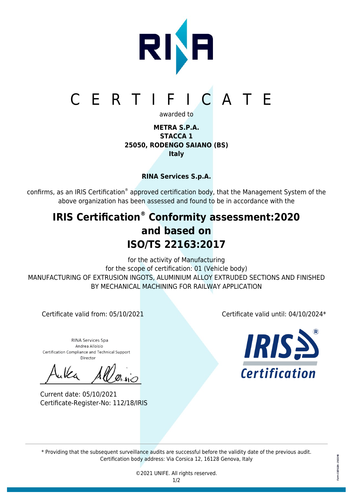

# CERTIFICATE

awarded to

### **METRA S.P.A. STACCA 1 25050, RODENGO SAIANO (BS) Italy**

## **RINA Services S.p.A.**

confirms, as an IRIS Certification® approved certification body, that the Management System of the above organization has been assessed and found to be in accordance with the

# **IRIS Certification® Conformity assessment:2020 and based on ISO/TS 22163:2017**

for the activity of Manufacturing for the scope of certification: 01 (Vehicle body) MANUFACTURING OF EXTRUSION INGOTS, ALUMINIUM ALLOY EXTRUDED SECTIONS AND FINISHED BY MECHANICAL MACHINING FOR RAILWAY APPLICATION

**RINA Services Spa** Andrea Alloisio Certification Compliance and Technical Support Director

Current date: 05/10/2021 Certificate-Register-No: 112/18/IRIS

Certificate valid from: 05/10/2021 Certificate valid until: 04/10/2024\*



\* Providing that the subsequent surveillance audits are successful before the validity date of the previous audit. Certification body address: Via Corsica 12, 16128 Genova, Italy

> ©2021 UNIFE. All rights reserved. 1/2